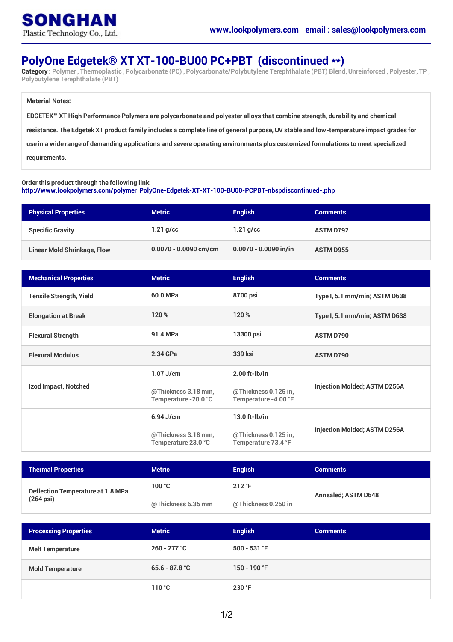## **PolyOne Edgetek® XT XT-100-BU00 PC+PBT (discontinued \*\*)**

Category: Polymer, Thermoplastic, Polycarbonate (PC), Polycarbonate/Polybutylene Terephthalate (PBT) Blend, Unreinforced, Polyester, TP, **Polybutylene Terephthalate (PBT)**

#### **Material Notes:**

EDGETEK™ XT High Performance Polymers are polycarbonate and polyester alloys that combine strength, durability and chemical resistance. The Edgetek XT product family includes a complete line of general purpose, UV stable and low-temperature impact grades for use in a wide range of demanding applications and severe operating environments plus customized formulations to meet specialized **requirements.**

#### **Order this product through the following link:**

**[http://www.lookpolymers.com/polymer\\_PolyOne-Edgetek-XT-XT-100-BU00-PCPBT-nbspdiscontinued-.php](http://www.lookpolymers.com/polymer_PolyOne-Edgetek-XT-XT-100-BU00-PCPBT-nbspdiscontinued-.php)**

| <b>Physical Properties</b>         | <b>Metric</b>           | <b>English</b>          | <b>Comments</b>  |
|------------------------------------|-------------------------|-------------------------|------------------|
| <b>Specific Gravity</b>            | $1.21$ g/cc             | $1.21$ g/cc             | <b>ASTM D792</b> |
| <b>Linear Mold Shrinkage, Flow</b> | $0.0070 - 0.0090$ cm/cm | $0.0070 - 0.0090$ in/in | <b>ASTM D955</b> |

| <b>Mechanical Properties</b>   | <b>Metric</b>                                | <b>English</b>                               | <b>Comments</b>                     |
|--------------------------------|----------------------------------------------|----------------------------------------------|-------------------------------------|
| <b>Tensile Strength, Yield</b> | 60.0 MPa                                     | 8700 psi                                     | Type I, 5.1 mm/min; ASTM D638       |
| <b>Elongation at Break</b>     | 120%                                         | 120 %                                        | Type I, 5.1 mm/min; ASTM D638       |
| <b>Flexural Strength</b>       | 91.4 MPa                                     | 13300 psi                                    | <b>ASTM D790</b>                    |
| <b>Flexural Modulus</b>        | 2.34 GPa                                     | 339 ksi                                      | <b>ASTM D790</b>                    |
| Izod Impact, Notched           | $1.07$ J/cm                                  | $2.00$ ft- $Ib/in$                           | <b>Injection Molded; ASTM D256A</b> |
|                                | @Thickness 3.18 mm,<br>Temperature - 20.0 °C | @Thickness 0.125 in,<br>Temperature -4.00 °F |                                     |
|                                | $6.94$ J/cm                                  | $13.0$ ft- $I$ b/in                          | <b>Injection Molded; ASTM D256A</b> |
|                                | @Thickness 3.18 mm,<br>Temperature 23.0 °C   | @Thickness 0.125 in,<br>Temperature 73.4 °F  |                                     |

| <b>Thermal Properties</b>                                   | <b>Metric</b>      | <b>Enalish</b>           | <b>Comments</b>            |
|-------------------------------------------------------------|--------------------|--------------------------|----------------------------|
| Deflection Temperature at 1.8 MPa<br>$(264 \,\mathrm{psi})$ | 100 °C             | $212 \text{ }^{\circ}$ F | <b>Annealed; ASTM D648</b> |
|                                                             | @Thickness 6.35 mm | @Thickness 0.250 in      |                            |

| <b>Processing Properties</b> | <b>Metric</b>    | <b>English</b> | <b>Comments</b> |
|------------------------------|------------------|----------------|-----------------|
| <b>Melt Temperature</b>      | $260 - 277$ °C   | $500 - 531$ °F |                 |
| <b>Mold Temperature</b>      | $65.6 - 87.8 °C$ | 150 - 190 °F   |                 |
|                              | 110 °C           | 230 °F         |                 |